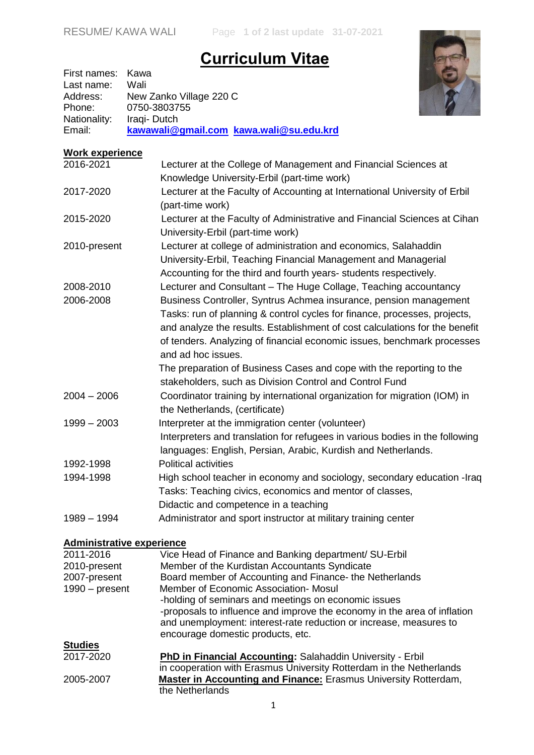## **Curriculum Vitae**



| First names: Kawa |                                         |
|-------------------|-----------------------------------------|
| Last name:        | Wali                                    |
| Address:          | New Zanko Village 220 C                 |
| Phone:            | 0750-3803755                            |
| Nationality:      | Iraqi-Dutch                             |
| Email:            | kawawali@gmail.com kawa.wali@su.edu.krd |

| <b>Work experience</b>           |                                                                              |
|----------------------------------|------------------------------------------------------------------------------|
| 2016-2021                        | Lecturer at the College of Management and Financial Sciences at              |
|                                  | Knowledge University-Erbil (part-time work)                                  |
| 2017-2020                        | Lecturer at the Faculty of Accounting at International University of Erbil   |
|                                  | (part-time work)                                                             |
| 2015-2020                        | Lecturer at the Faculty of Administrative and Financial Sciences at Cihan    |
|                                  | University-Erbil (part-time work)                                            |
| 2010-present                     | Lecturer at college of administration and economics, Salahaddin              |
|                                  | University-Erbil, Teaching Financial Management and Managerial               |
|                                  | Accounting for the third and fourth years- students respectively.            |
| 2008-2010                        | Lecturer and Consultant - The Huge Collage, Teaching accountancy             |
| 2006-2008                        | Business Controller, Syntrus Achmea insurance, pension management            |
|                                  | Tasks: run of planning & control cycles for finance, processes, projects,    |
|                                  | and analyze the results. Establishment of cost calculations for the benefit  |
|                                  | of tenders. Analyzing of financial economic issues, benchmark processes      |
|                                  | and ad hoc issues.                                                           |
|                                  | The preparation of Business Cases and cope with the reporting to the         |
|                                  | stakeholders, such as Division Control and Control Fund                      |
| $2004 - 2006$                    | Coordinator training by international organization for migration (IOM) in    |
|                                  | the Netherlands, (certificate)                                               |
| $1999 - 2003$                    | Interpreter at the immigration center (volunteer)                            |
|                                  | Interpreters and translation for refugees in various bodies in the following |
|                                  | languages: English, Persian, Arabic, Kurdish and Netherlands.                |
| 1992-1998                        | <b>Political activities</b>                                                  |
| 1994-1998                        | High school teacher in economy and sociology, secondary education -Iraq      |
|                                  | Tasks: Teaching civics, economics and mentor of classes,                     |
|                                  | Didactic and competence in a teaching                                        |
| $1989 - 1994$                    | Administrator and sport instructor at military training center               |
| <b>Administrative experience</b> |                                                                              |
| 2011-2016                        | Vice Head of Finance and Banking department/ SU-Erbil                        |
| 2010-present                     | Member of the Kurdistan Accountants Syndicate                                |
| 2007-present                     | Board member of Accounting and Finance- the Netherlands                      |
| $1990 - present$                 | Member of Economic Association- Mosul                                        |

| -holding of seminars and meetings on economic issues                     |
|--------------------------------------------------------------------------|
| -proposals to influence and improve the economy in the area of inflation |
| and unemployment: interest-rate reduction or increase, measures to       |
| encourage domestic products, etc.                                        |
|                                                                          |

|                | onoodiago aoniootio produoto, oto.                                     |
|----------------|------------------------------------------------------------------------|
| <b>Studies</b> |                                                                        |
| 2017-2020      | PhD in Financial Accounting: Salahaddin University - Erbil             |
|                | in cooperation with Erasmus University Rotterdam in the Netherlands    |
| 2005-2007      | <b>Master in Accounting and Finance: Erasmus University Rotterdam,</b> |
|                | the Netherlands                                                        |